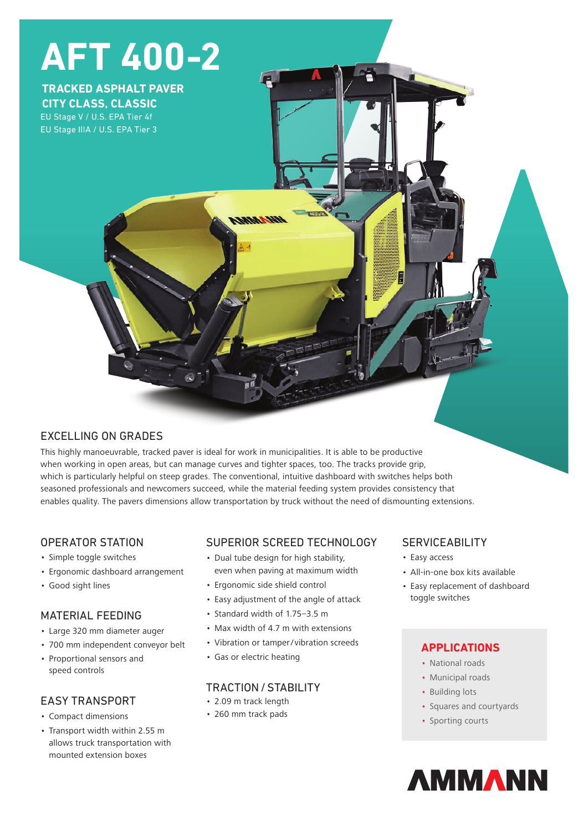

# EXCELLING ON GRADES

This highly manoeuvrable, tracked paver is ideal for work in municipalities. It is able to be productive when working in open areas, but can manage curves and tighter spaces, too. The tracks provide grip, which is particularly helpful on steep grades. The conventional, intuitive dashboard with switches helps both seasoned professionals and newcomers succeed, while the material feeding system provides consistency that enables quality. The pavers dimensions allow transportation by truck without the need of dismounting extensions.

## OPERATOR STATION

- Simple toggle switches
- Ergonomic dashboard arrangement
- Good sight lines

## MATERIAL FEEDING

- Large 320 mm diameter auger
- 700 mm independent conveyor belt
- Proportional sensors and speed controls

# EASY TRANSPORT

- Compact dimensions
- Transport width within 2.55 m allows truck transportation with mounted extension boxes

# SUPERIOR SCREED TECHNOLOGY

- Dual tube design for high stability, even when paving at maximum width
- Ergonomic side shield control
- Easy adjustment of the angle of attack
- Standard width of 1.75–3.5 m
- Max width of 4.7 m with extensions
- Vibration or tamper/ vibration screeds
- Gas or electric heating

# TRACTION/STABILITY

- 2.09 m track length
- 260 mm track pads

# **SERVICEABILITY**

- Easy access
- All-in-one box kits available
- Easy replacement of dashboard toggle switches

# **APPLICATIONS**

- National roads
- Municipal roads
- Building lots
- Squares and courtyards
- Sporting courts